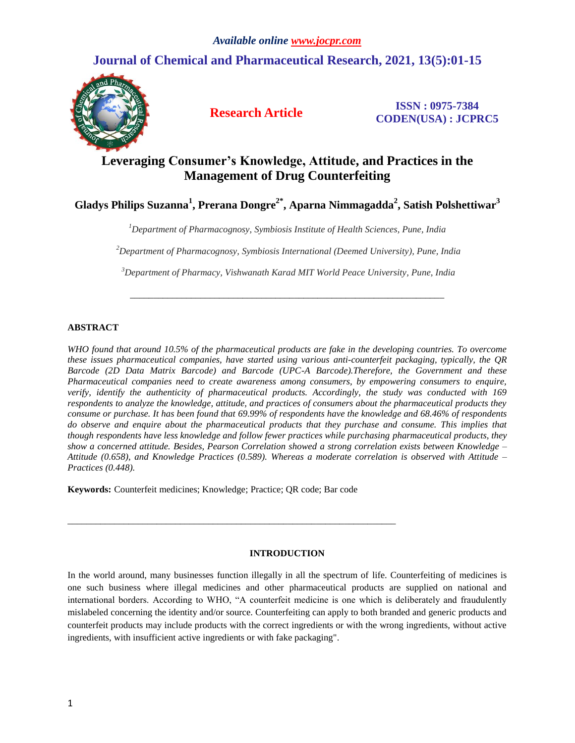# **Journal of Chemical and Pharmaceutical Research, 2021, 13(5):01-15**



**Research Article ISSN : 0975-7384 CODEN(USA) : JCPRC5**

# **Leveraging Consumer's Knowledge, Attitude, and Practices in the Management of Drug Counterfeiting**

**Gladys Philips Suzanna<sup>1</sup> , Prerana Dongre2\* , Aparna Nimmagadda<sup>2</sup> , Satish Polshettiwar<sup>3</sup>**

*<sup>1</sup>Department of Pharmacognosy, Symbiosis Institute of Health Sciences, Pune, India*

*<sup>2</sup>Department of Pharmacognosy, Symbiosis International (Deemed University), Pune, India*

*<sup>3</sup>Department of Pharmacy, Vishwanath Karad MIT World Peace University, Pune, India*

*\_\_\_\_\_\_\_\_\_\_\_\_\_\_\_\_\_\_\_\_\_\_\_\_\_\_\_\_\_\_\_\_\_\_\_\_\_\_\_\_\_\_\_\_\_\_\_\_\_\_\_\_\_\_\_\_\_\_\_\_\_\_\_\_\_\_\_*

# **ABSTRACT**

*WHO found that around 10.5% of the pharmaceutical products are fake in the developing countries. To overcome these issues pharmaceutical companies, have started using various anti-counterfeit packaging, typically, the QR Barcode (2D Data Matrix Barcode) and Barcode (UPC-A Barcode).Therefore, the Government and these Pharmaceutical companies need to create awareness among consumers, by empowering consumers to enquire, verify, identify the authenticity of pharmaceutical products. Accordingly, the study was conducted with 169 respondents to analyze the knowledge, attitude, and practices of consumers about the pharmaceutical products they consume or purchase. It has been found that 69.99% of respondents have the knowledge and 68.46% of respondents do observe and enquire about the pharmaceutical products that they purchase and consume. This implies that though respondents have less knowledge and follow fewer practices while purchasing pharmaceutical products, they show a concerned attitude. Besides, Pearson Correlation showed a strong correlation exists between Knowledge – Attitude (0.658), and Knowledge Practices (0.589). Whereas a moderate correlation is observed with Attitude – Practices (0.448).* 

**Keywords:** Counterfeit medicines; Knowledge; Practice; QR code; Bar code

*\_\_\_\_\_\_\_\_\_\_\_\_\_\_\_\_\_\_\_\_\_\_\_\_\_\_\_\_\_\_\_\_\_\_\_\_\_\_\_\_\_\_\_\_\_\_\_\_\_\_\_\_\_\_\_\_\_\_\_\_\_\_\_\_\_\_\_\_\_\_*

## **INTRODUCTION**

In the world around, many businesses function illegally in all the spectrum of life. Counterfeiting of medicines is one such business where illegal medicines and other pharmaceutical products are supplied on national and international borders. According to WHO, "А counterfeit medicine is one which is deliberately and fraudulently mislabeled concerning the identity and/or source. Counterfeiting can apply to both branded and generic products and counterfeit products may include products with the correct ingredients or with the wrong ingredients, without active ingredients, with insufficient active ingredients or with fake packaging".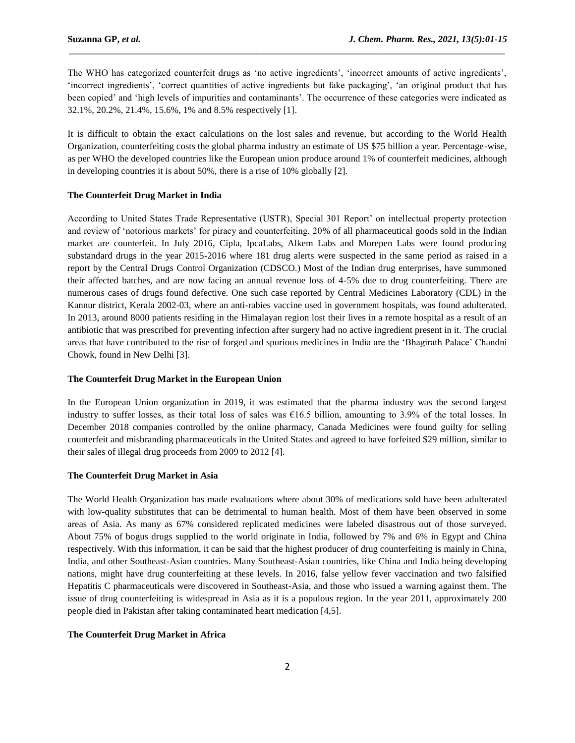The WHO has categorized counterfeit drugs as 'no active ingredients', 'incorrect amounts of active ingredients', 'incorrect ingredients', 'correct quantities of active ingredients but fake packaging', 'an original product that has been copied' and 'high levels of impurities and contaminants'. The occurrence of these categories were indicated as 32.1%, 20.2%, 21.4%, 15.6%, 1% and 8.5% respectively [1].

\_\_\_\_\_\_\_\_\_\_\_\_\_\_\_\_\_\_\_\_\_\_\_\_\_\_\_\_\_\_\_\_\_\_\_\_\_\_\_\_\_\_\_\_\_\_\_\_\_\_\_\_\_\_\_\_\_\_\_\_\_\_\_\_\_\_\_\_\_\_\_\_\_\_\_\_\_\_\_\_\_\_\_\_\_\_\_\_\_\_\_\_\_

It is difficult to obtain the exact calculations on the lost sales and revenue, but according to the World Health Organization, counterfeiting costs the global pharma industry an estimate of US \$75 billion a year. Percentage-wise, as per WHO the developed countries like the European union produce around 1% of counterfeit medicines, although in developing countries it is about 50%, there is a rise of 10% globally [2].

#### **The Counterfeit Drug Market in India**

According to United States Trade Representative (USTR), Special 301 Report' on intellectual property protection and review of 'notorious markets' for piracy and counterfeiting, 20% of all pharmaceutical goods sold in the Indian market are counterfeit. In July 2016, Cipla, IpcaLabs, Alkem Labs and Morepen Labs were found producing substandard drugs in the year 2015-2016 where 181 drug alerts were suspected in the same period as raised in a report by the Central Drugs Control Organization (CDSCO.) Most of the Indian drug enterprises, have summoned their affected batches, and are now facing an annual revenue loss of 4-5% due to drug counterfeiting. There are numerous cases of drugs found defective. One such case reported by Central Medicines Laboratory (CDL) in the Kannur district, Kerala 2002-03, where an anti-rabies vaccine used in government hospitals, was found adulterated. In 2013, around 8000 patients residing in the Himalayan region lost their lives in a remote hospital as a result of an antibiotic that was prescribed for preventing infection after surgery had no active ingredient present in it. The crucial areas that have contributed to the rise of forged and spurious medicines in India are the 'Bhagirath Palace' Chandni Chowk, found in New Delhi [3].

#### **The Counterfeit Drug Market in the European Union**

In the European Union organization in 2019, it was estimated that the pharma industry was the second largest industry to suffer losses, as their total loss of sales was €16.5 billion, amounting to 3.9% of the total losses. In December 2018 companies controlled by the online pharmacy, Canada Medicines were found guilty for selling counterfeit and misbranding pharmaceuticals in the United States and agreed to have forfeited \$29 million, similar to their sales of illegal drug proceeds from 2009 to 2012 [4].

## **The Counterfeit Drug Market in Asia**

The World Health Organization has made evaluations where about 30% of medications sold have been adulterated with low-quality substitutes that can be detrimental to human health. Most of them have been observed in some areas of Asia. As many as 67% considered replicated medicines were labeled disastrous out of those surveyed. About 75% of bogus drugs supplied to the world originate in India, followed by 7% and 6% in Egypt and China respectively. With this information, it can be said that the highest producer of drug counterfeiting is mainly in China, India, and other Southeast-Asian countries. Many Southeast-Asian countries, like China and India being developing nations, might have drug counterfeiting at these levels. In 2016, false yellow fever vaccination and two falsified Hepatitis C pharmaceuticals were discovered in Southeast-Asia, and those who issued a warning against them. The issue of drug counterfeiting is widespread in Asia as it is a populous region. In the year 2011, approximately 200 people died in Pakistan after taking contaminated heart medication [4,5].

## **The Counterfeit Drug Market in Africa**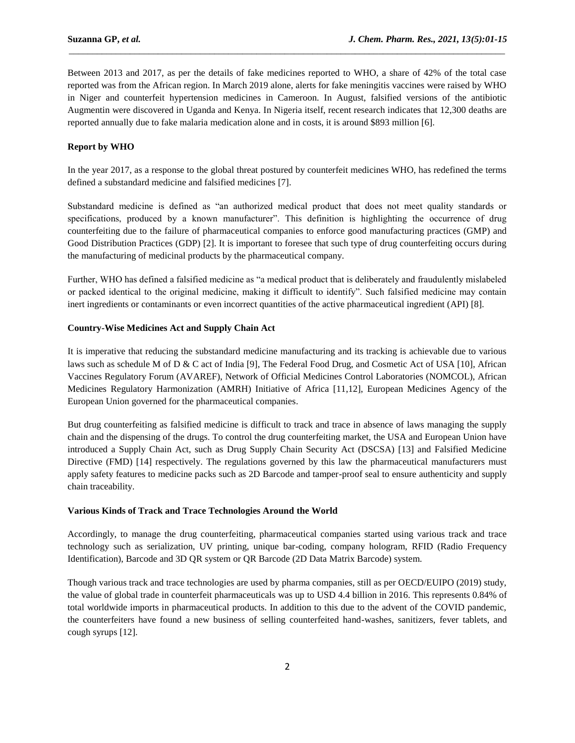Between 2013 and 2017, as per the details of fake medicines reported to WHO, a share of 42% of the total case reported was from the African region. In March 2019 alone, alerts for fake meningitis vaccines were raised by WHO in Niger and counterfeit hypertension medicines in Cameroon. In August, falsified versions of the antibiotic Augmentin were discovered in Uganda and Kenya. In Nigeria itself, recent research indicates that 12,300 deaths are reported annually due to fake malaria medication alone and in costs, it is around \$893 million [6].

\_\_\_\_\_\_\_\_\_\_\_\_\_\_\_\_\_\_\_\_\_\_\_\_\_\_\_\_\_\_\_\_\_\_\_\_\_\_\_\_\_\_\_\_\_\_\_\_\_\_\_\_\_\_\_\_\_\_\_\_\_\_\_\_\_\_\_\_\_\_\_\_\_\_\_\_\_\_\_\_\_\_\_\_\_\_\_\_\_\_\_\_\_

## **Report by WHO**

In the year 2017, as a response to the global threat postured by counterfeit medicines WHO, has redefined the terms defined a substandard medicine and falsified medicines [7].

Substandard medicine is defined as "an authorized medical product that does not meet quality standards or specifications, produced by a known manufacturer". This definition is highlighting the occurrence of drug counterfeiting due to the failure of pharmaceutical companies to enforce good manufacturing practices (GMP) and Good Distribution Practices (GDP) [2]. It is important to foresee that such type of drug counterfeiting occurs during the manufacturing of medicinal products by the pharmaceutical company.

Further, WHO has defined a falsified medicine as "a medical product that is deliberately and fraudulently mislabeled or packed identical to the original medicine, making it difficult to identify". Such falsified medicine may contain inert ingredients or contaminants or even incorrect quantities of the active pharmaceutical ingredient (API) [8].

### **Country-Wise Medicines Act and Supply Chain Act**

It is imperative that reducing the substandard medicine manufacturing and its tracking is achievable due to various laws such as schedule M of D & C act of India [9], The Federal Food Drug, and Cosmetic Act of USA [10], African Vaccines Regulatory Forum (AVAREF), Network of Official Medicines Control Laboratories (NOMCOL), African Medicines Regulatory Harmonization (AMRH) Initiative of Africa [11,12], European Medicines Agency of the European Union governed for the pharmaceutical companies.

But drug counterfeiting as falsified medicine is difficult to track and trace in absence of laws managing the supply chain and the dispensing of the drugs. To control the drug counterfeiting market, the USA and European Union have introduced a Supply Chain Act, such as Drug Supply Chain Security Act (DSCSA) [13] and Falsified Medicine Directive (FMD) [14] respectively. The regulations governed by this law the pharmaceutical manufacturers must apply safety features to medicine packs such as 2D Barcode and tamper-proof seal to ensure authenticity and supply chain traceability.

## **Various Kinds of Track and Trace Technologies Around the World**

Accordingly, to manage the drug counterfeiting, pharmaceutical companies started using various track and trace technology such as serialization, UV printing, unique bar-coding, company hologram, RFID (Radio Frequency Identification), Barcode and 3D QR system or QR Barcode (2D Data Matrix Barcode) system.

Though various track and trace technologies are used by pharma companies, still as per OECD/EUIPO (2019) study, the value of global trade in counterfeit pharmaceuticals was up to USD 4.4 billion in 2016. This represents 0.84% of total worldwide imports in pharmaceutical products. In addition to this due to the advent of the COVID pandemic, the counterfeiters have found a new business of selling counterfeited hand-washes, sanitizers, fever tablets, and cough syrups [12].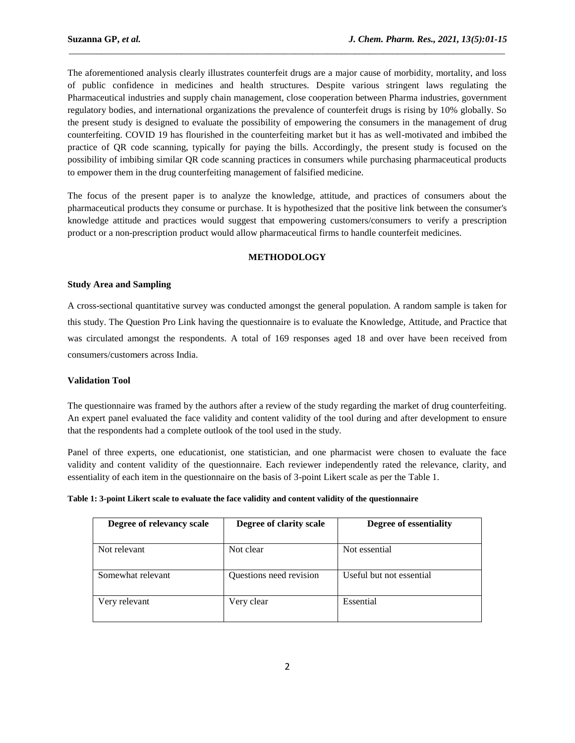The aforementioned analysis clearly illustrates counterfeit drugs are a major cause of morbidity, mortality, and loss of public confidence in medicines and health structures. Despite various stringent laws regulating the Pharmaceutical industries and supply chain management, close cooperation between Pharma industries, government regulatory bodies, and international organizations the prevalence of counterfeit drugs is rising by 10% globally. So the present study is designed to evaluate the possibility of empowering the consumers in the management of drug counterfeiting. COVID 19 has flourished in the counterfeiting market but it has as well-motivated and imbibed the practice of QR code scanning, typically for paying the bills. Accordingly, the present study is focused on the possibility of imbibing similar QR code scanning practices in consumers while purchasing pharmaceutical products to empower them in the drug counterfeiting management of falsified medicine.

\_\_\_\_\_\_\_\_\_\_\_\_\_\_\_\_\_\_\_\_\_\_\_\_\_\_\_\_\_\_\_\_\_\_\_\_\_\_\_\_\_\_\_\_\_\_\_\_\_\_\_\_\_\_\_\_\_\_\_\_\_\_\_\_\_\_\_\_\_\_\_\_\_\_\_\_\_\_\_\_\_\_\_\_\_\_\_\_\_\_\_\_\_

The focus of the present paper is to analyze the knowledge, attitude, and practices of consumers about the pharmaceutical products they consume or purchase. It is hypothesized that the positive link between the consumer's knowledge attitude and practices would suggest that empowering customers/consumers to verify a prescription product or a non-prescription product would allow pharmaceutical firms to handle counterfeit medicines.

## **METHODOLOGY**

## **Study Area and Sampling**

A cross-sectional quantitative survey was conducted amongst the general population. A random sample is taken for this study. The Question Pro Link having the questionnaire is to evaluate the Knowledge, Attitude, and Practice that was circulated amongst the respondents. A total of 169 responses aged 18 and over have been received from consumers/customers across India.

## **Validation Tool**

The questionnaire was framed by the authors after a review of the study regarding the market of drug counterfeiting. An expert panel evaluated the face validity and content validity of the tool during and after development to ensure that the respondents had a complete outlook of the tool used in the study.

Panel of three experts, one educationist, one statistician, and one pharmacist were chosen to evaluate the face validity and content validity of the questionnaire. Each reviewer independently rated the relevance, clarity, and essentiality of each item in the questionnaire on the basis of 3-point Likert scale as per the Table 1.

| Degree of relevancy scale | Degree of clarity scale | Degree of essentiality   |
|---------------------------|-------------------------|--------------------------|
| Not relevant              | Not clear               | Not essential            |
| Somewhat relevant         | Questions need revision | Useful but not essential |
| Very relevant             | Very clear              | Essential                |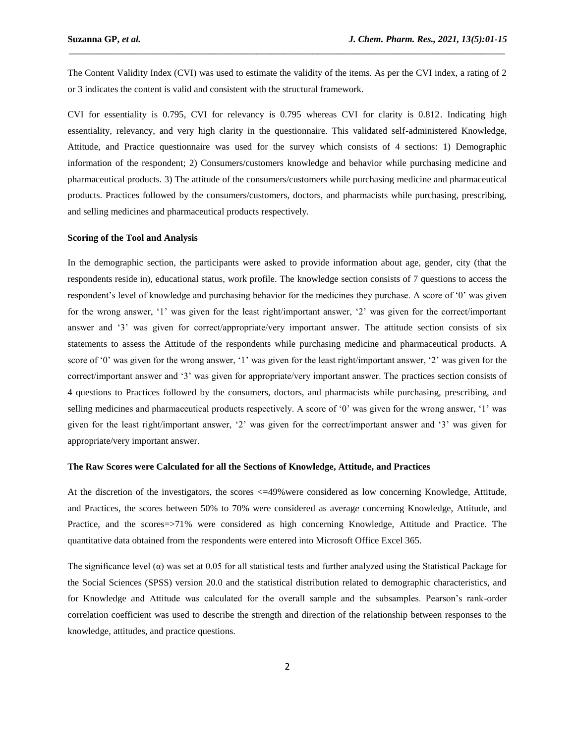The Content Validity Index (CVI) was used to estimate the validity of the items. As per the CVI index, a rating of 2 or 3 indicates the content is valid and consistent with the structural framework.

\_\_\_\_\_\_\_\_\_\_\_\_\_\_\_\_\_\_\_\_\_\_\_\_\_\_\_\_\_\_\_\_\_\_\_\_\_\_\_\_\_\_\_\_\_\_\_\_\_\_\_\_\_\_\_\_\_\_\_\_\_\_\_\_\_\_\_\_\_\_\_\_\_\_\_\_\_\_\_\_\_\_\_\_\_\_\_\_\_\_\_\_\_

CVI for essentiality is 0.795, CVI for relevancy is 0.795 whereas CVI for clarity is 0.812. Indicating high essentiality, relevancy, and very high clarity in the questionnaire. This validated self-administered Knowledge, Attitude, and Practice questionnaire was used for the survey which consists of 4 sections: 1) Demographic information of the respondent; 2) Consumers/customers knowledge and behavior while purchasing medicine and pharmaceutical products. 3) The attitude of the consumers/customers while purchasing medicine and pharmaceutical products. Practices followed by the consumers/customers, doctors, and pharmacists while purchasing, prescribing, and selling medicines and pharmaceutical products respectively.

#### **Scoring of the Tool and Analysis**

In the demographic section*,* the participants were asked to provide information about age, gender, city (that the respondents reside in), educational status, work profile. The knowledge section consists of 7 questions to access the respondent's level of knowledge and purchasing behavior for the medicines they purchase. A score of '0' was given for the wrong answer, '1' was given for the least right/important answer, '2' was given for the correct/important answer and '3' was given for correct/appropriate/very important answer. The attitude section consists of six statements to assess the Attitude of the respondents while purchasing medicine and pharmaceutical products. A score of '0' was given for the wrong answer, '1' was given for the least right/important answer, '2' was given for the correct/important answer and '3' was given for appropriate/very important answer. The practices section consists of 4 questions to Practices followed by the consumers, doctors, and pharmacists while purchasing, prescribing, and selling medicines and pharmaceutical products respectively. A score of '0' was given for the wrong answer, '1' was given for the least right/important answer, '2' was given for the correct/important answer and '3' was given for appropriate/very important answer.

#### **The Raw Scores were Calculated for all the Sections of Knowledge, Attitude, and Practices**

At the discretion of the investigators, the scores  $\leq$ =49% were considered as low concerning Knowledge, Attitude, and Practices, the scores between 50% to 70% were considered as averag*e* concerning Knowledge, Attitude, and Practice, and the scores=>71% were considered as high concerning Knowledge, Attitude and Practice. The quantitative data obtained from the respondents were entered into Microsoft Office Excel 365.

The significance level  $(\alpha)$  was set at 0.05 for all statistical tests and further analyzed using the Statistical Package for the Social Sciences (SPSS) version 20.0 and the statistical distribution related to demographic characteristics, and for Knowledge and Attitude was calculated for the overall sample and the subsamples. Pearson's rank-order correlation coefficient was used to describe the strength and direction of the relationship between responses to the knowledge, attitudes, and practice questions.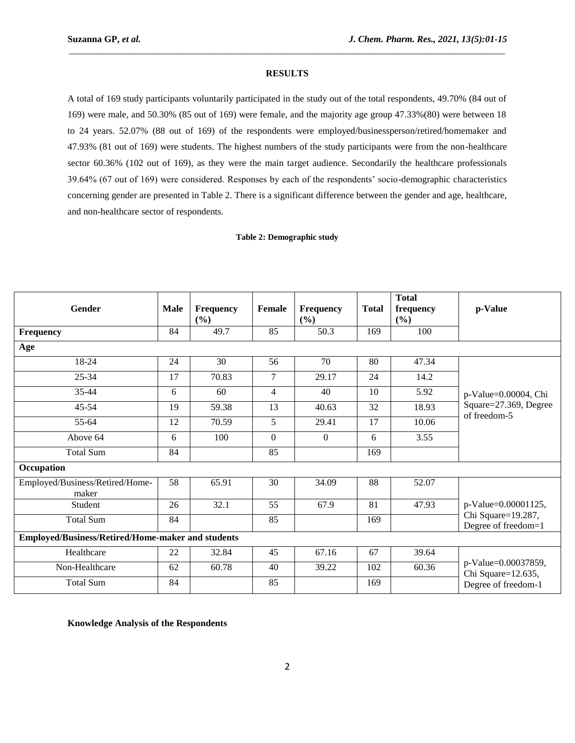## **RESULTS**

\_\_\_\_\_\_\_\_\_\_\_\_\_\_\_\_\_\_\_\_\_\_\_\_\_\_\_\_\_\_\_\_\_\_\_\_\_\_\_\_\_\_\_\_\_\_\_\_\_\_\_\_\_\_\_\_\_\_\_\_\_\_\_\_\_\_\_\_\_\_\_\_\_\_\_\_\_\_\_\_\_\_\_\_\_\_\_\_\_\_\_\_\_

A total of 169 study participants voluntarily participated in the study out of the total respondents, 49.70% (84 out of 169) were male, and 50.30% (85 out of 169) were female, and the majority age group 47.33%(80) were between 18 to 24 years. 52.07% (88 out of 169) of the respondents were employed/businessperson/retired/homemaker and 47.93% (81 out of 169) were students. The highest numbers of the study participants were from the non-healthcare sector 60.36% (102 out of 169), as they were the main target audience. Secondarily the healthcare professionals 39.64% (67 out of 169) were considered. Responses by each of the respondents' socio-demographic characteristics concerning gender are presented in Table 2. There is a significant difference between the gender and age, healthcare, and non-healthcare sector of respondents.

#### **Table 2: Demographic study**

| <b>Gender</b>                                     | <b>Male</b> | <b>Frequency</b><br>(%) | Female         | Frequency<br>(%) | <b>Total</b> | <b>Total</b><br>frequency<br>(%) | p-Value                                                          |  |
|---------------------------------------------------|-------------|-------------------------|----------------|------------------|--------------|----------------------------------|------------------------------------------------------------------|--|
| Frequency                                         | 84          | 49.7                    | 85             | 50.3             | 169          | 100                              |                                                                  |  |
| Age                                               |             |                         |                |                  |              |                                  |                                                                  |  |
| 18-24                                             | 24          | 30                      | 56             | 70               | 80           | 47.34                            |                                                                  |  |
| 25-34                                             | 17          | 70.83                   | $\overline{7}$ | 29.17            | 24           | 14.2                             |                                                                  |  |
| $35 - 44$                                         | 6           | 60                      | $\overline{4}$ | 40               | 10           | 5.92                             | p-Value=0.00004, Chi                                             |  |
| 45-54                                             | 19          | 59.38                   | 13             | 40.63            | 32           | 18.93                            | Square=27.369, Degree<br>of freedom-5                            |  |
| 55-64                                             | 12          | 70.59                   | 5              | 29.41            | 17           | 10.06                            |                                                                  |  |
| Above 64                                          | 6           | 100                     | $\mathbf{0}$   | $\overline{0}$   | 6            | 3.55                             |                                                                  |  |
| <b>Total Sum</b>                                  | 84          |                         | 85             |                  | 169          |                                  |                                                                  |  |
| Occupation                                        |             |                         |                |                  |              |                                  |                                                                  |  |
| Employed/Business/Retired/Home-<br>maker          | 58          | 65.91                   | 30             | 34.09            | 88           | 52.07                            |                                                                  |  |
| Student                                           | 26          | 32.1                    | 55             | 67.9             | 81           | 47.93                            | p-Value=0.00001125,                                              |  |
| <b>Total Sum</b>                                  | 84          |                         | 85             |                  | 169          |                                  | Chi Square=19.287,<br>Degree of freedom=1                        |  |
| Employed/Business/Retired/Home-maker and students |             |                         |                |                  |              |                                  |                                                                  |  |
| Healthcare                                        | 22          | 32.84                   | 45             | 67.16            | 67           | 39.64                            | p-Value=0.00037859,<br>Chi Square=12.635,<br>Degree of freedom-1 |  |
| Non-Healthcare                                    | 62          | 60.78                   | 40             | 39.22            | 102          | 60.36                            |                                                                  |  |
| <b>Total Sum</b>                                  | 84          |                         | 85             |                  | 169          |                                  |                                                                  |  |

**Knowledge Analysis of the Respondents**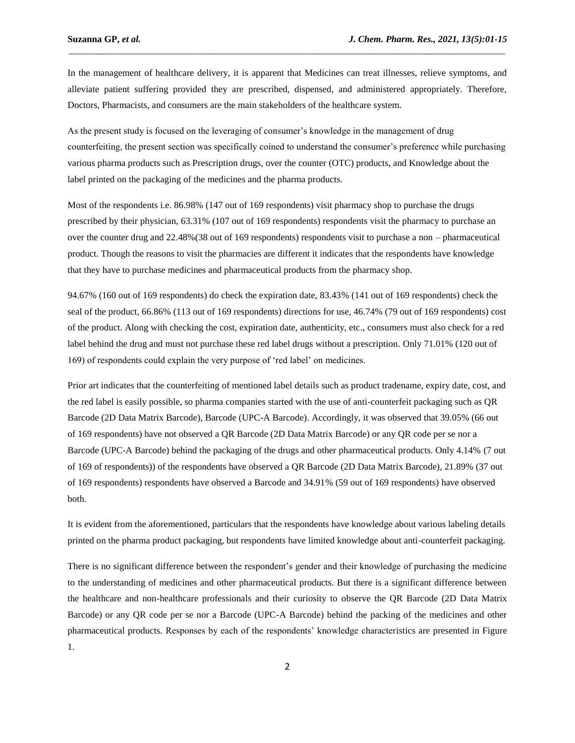In the management of healthcare delivery, it is apparent that Medicines can treat illnesses, relieve symptoms, and alleviate patient suffering provided they are prescribed, dispensed, and administered appropriately. Therefore, Doctors, Pharmacists, and consumers are the main stakeholders of the healthcare system.

\_\_\_\_\_\_\_\_\_\_\_\_\_\_\_\_\_\_\_\_\_\_\_\_\_\_\_\_\_\_\_\_\_\_\_\_\_\_\_\_\_\_\_\_\_\_\_\_\_\_\_\_\_\_\_\_\_\_\_\_\_\_\_\_\_\_\_\_\_\_\_\_\_\_\_\_\_\_\_\_\_\_\_\_\_\_\_\_\_\_\_\_\_

As the present study is focused on the leveraging of consumer's knowledge in the management of drug counterfeiting, the present section was specifically coined to understand the consumer's preference while purchasing various pharma products such as Prescription drugs, over the counter (OTC) products, and Knowledge about the label printed on the packaging of the medicines and the pharma products.

Most of the respondents i.e. 86.98% (147 out of 169 respondents) visit pharmacy shop to purchase the drugs prescribed by their physician, 63.31% (107 out of 169 respondents) respondents visit the pharmacy to purchase an over the counter drug and 22.48%(38 out of 169 respondents) respondents visit to purchase a non – pharmaceutical product. Though the reasons to visit the pharmacies are different it indicates that the respondents have knowledge that they have to purchase medicines and pharmaceutical products from the pharmacy shop.

94.67% (160 out of 169 respondents) do check the expiration date, 83.43% (141 out of 169 respondents) check the seal of the product, 66.86% (113 out of 169 respondents) directions for use, 46.74% (79 out of 169 respondents) cost of the product. Along with checking the cost, expiration date, authenticity, etc., consumers must also check for a red label behind the drug and must not purchase these red label drugs without a prescription. Only 71.01% (120 out of 169) of respondents could explain the very purpose of 'red label' on medicines.

Prior art indicates that the counterfeiting of mentioned label details such as product tradename, expiry date, cost, and the red label is easily possible, so pharma companies started with the use of anti-counterfeit packaging such as QR Barcode (2D Data Matrix Barcode), Barcode (UPC-A Barcode). Accordingly, it was observed that 39.05% (66 out of 169 respondents) have not observed a QR Barcode (2D Data Matrix Barcode) or any QR code per se nor a Barcode (UPC-A Barcode) behind the packaging of the drugs and other pharmaceutical products. Only 4.14% (7 out of 169 of respondents)) of the respondents have observed a QR Barcode (2D Data Matrix Barcode), 21.89% (37 out of 169 respondents) respondents have observed a Barcode and 34.91% (59 out of 169 respondents) have observed both.

It is evident from the aforementioned, particulars that the respondents have knowledge about various labeling details printed on the pharma product packaging, but respondents have limited knowledge about anti-counterfeit packaging.

There is no significant difference between the respondent's gender and their knowledge of purchasing the medicine to the understanding of medicines and other pharmaceutical products. But there is a significant difference between the healthcare and non-healthcare professionals and their curiosity to observe the QR Barcode (2D Data Matrix Barcode) or any QR code per se nor a Barcode (UPC-A Barcode) behind the packing of the medicines and other pharmaceutical products. Responses by each of the respondents' knowledge characteristics are presented in Figure 1.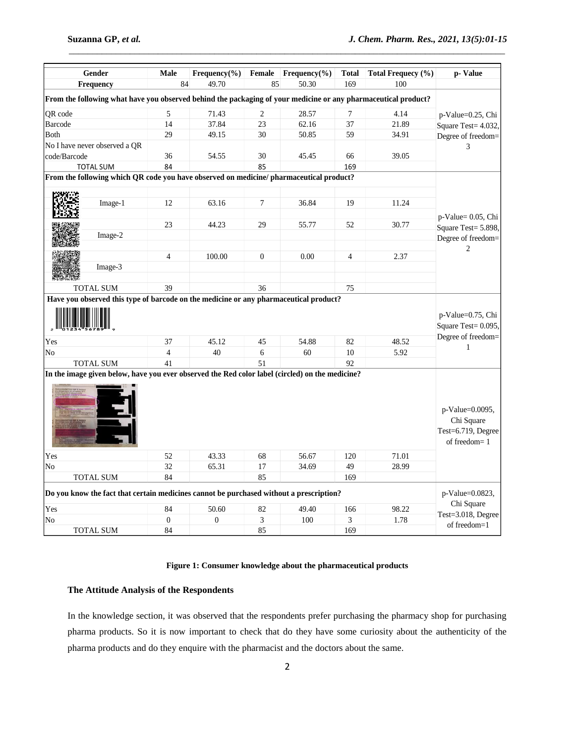| Gender<br>Frequency                                                                                            | <b>Male</b><br>84 | $Frequency(\%)$<br>49.70 | Female<br>85   | $Frequency(\%)$<br>50.30 | <b>Total</b><br>169                                            | Total Frequecy (%)<br>100     | p-Value                                                             |  |
|----------------------------------------------------------------------------------------------------------------|-------------------|--------------------------|----------------|--------------------------|----------------------------------------------------------------|-------------------------------|---------------------------------------------------------------------|--|
|                                                                                                                |                   |                          |                |                          |                                                                |                               |                                                                     |  |
| From the following what have you observed behind the packaging of your medicine or any pharmaceutical product? |                   |                          |                |                          |                                                                |                               |                                                                     |  |
| QR code                                                                                                        | 5                 | 71.43                    | 2              | 28.57                    | 7                                                              | 4.14                          | p-Value=0.25, Chi<br>Square Test= 4.032,                            |  |
| Barcode                                                                                                        | 14                | 37.84                    | 23             | 62.16                    | 37                                                             | 21.89                         |                                                                     |  |
| Both                                                                                                           | 29                | 49.15                    | 30             | 50.85                    | 59                                                             | 34.91                         | Degree of freedom=                                                  |  |
| No I have never observed a QR                                                                                  |                   |                          |                |                          |                                                                |                               | 3                                                                   |  |
| code/Barcode                                                                                                   | 36                | 54.55                    | 30             | 45.45                    | 66                                                             | 39.05                         |                                                                     |  |
| <b>TOTAL SUM</b>                                                                                               | 84                |                          | 85             |                          | 169                                                            |                               |                                                                     |  |
| From the following which QR code you have observed on medicine/ pharmaceutical product?                        |                   |                          |                |                          |                                                                |                               |                                                                     |  |
|                                                                                                                |                   |                          |                |                          |                                                                |                               |                                                                     |  |
| Image-1                                                                                                        | 12                | 63.16                    | $\overline{7}$ | 36.84                    | 19                                                             | 11.24                         |                                                                     |  |
|                                                                                                                |                   |                          |                |                          |                                                                |                               | p-Value= 0.05, Chi                                                  |  |
|                                                                                                                | 23                | 44.23                    | 29             | 55.77                    | 52                                                             | 30.77                         | Square Test= 5.898,                                                 |  |
| Image-2                                                                                                        |                   |                          |                |                          |                                                                |                               | Degree of freedom=                                                  |  |
|                                                                                                                |                   |                          |                |                          |                                                                |                               | 2                                                                   |  |
|                                                                                                                | $\overline{4}$    | 100.00                   | $\mathbf{0}$   | 0.00                     | $\overline{4}$                                                 | 2.37                          |                                                                     |  |
| Image-3                                                                                                        |                   |                          |                |                          |                                                                |                               |                                                                     |  |
|                                                                                                                |                   |                          |                |                          |                                                                |                               |                                                                     |  |
| TOTAL SUM                                                                                                      | 39                |                          | 36             |                          | 75                                                             |                               |                                                                     |  |
| Yes<br>37<br>45.12<br>45<br>54.88<br>82                                                                        |                   |                          |                | 48.52                    | p-Value=0.75, Chi<br>Square Test= 0.095,<br>Degree of freedom= |                               |                                                                     |  |
| No                                                                                                             | $\overline{4}$    | 40                       | $\sqrt{6}$     | 60                       | 10                                                             | 5.92                          | 1                                                                   |  |
| <b>TOTAL SUM</b>                                                                                               | 41                |                          | 51             |                          | 92                                                             |                               |                                                                     |  |
| In the image given below, have you ever observed the Red color label (circled) on the medicine?                |                   |                          |                |                          |                                                                |                               | p-Value=0.0095,<br>Chi Square<br>Test=6.719, Degree<br>of freedom=1 |  |
| Yes                                                                                                            | 52                | 43.33                    | 68             | 56.67                    | 120                                                            | 71.01                         |                                                                     |  |
| No                                                                                                             | 32                | 65.31                    | 17             | 34.69                    | 49                                                             | 28.99                         |                                                                     |  |
| <b>TOTAL SUM</b>                                                                                               | 84                |                          | 85             |                          | 169                                                            |                               |                                                                     |  |
| Do you know the fact that certain medicines cannot be purchased without a prescription?                        |                   |                          |                |                          |                                                                | p-Value=0.0823,<br>Chi Square |                                                                     |  |
| Yes                                                                                                            | 84                | 50.60                    | 82             | 49.40                    | 166                                                            | 98.22                         | Test=3.018, Degree                                                  |  |
| N <sub>0</sub>                                                                                                 | $\overline{0}$    | $\overline{0}$           | 3              | 100                      | 3                                                              | 1.78                          | of freedom=1                                                        |  |
| <b>TOTAL SUM</b>                                                                                               | 84                |                          | 85             |                          | 169                                                            |                               |                                                                     |  |

\_\_\_\_\_\_\_\_\_\_\_\_\_\_\_\_\_\_\_\_\_\_\_\_\_\_\_\_\_\_\_\_\_\_\_\_\_\_\_\_\_\_\_\_\_\_\_\_\_\_\_\_\_\_\_\_\_\_\_\_\_\_\_\_\_\_\_\_\_\_\_\_\_\_\_\_\_\_\_\_\_\_\_\_\_\_\_\_\_\_\_\_\_

**Table 2: Consumers/customers knowledge and behaviour while purchasing medicine and pharmaceutical products.**

## **Figure 1: Consumer knowledge about the pharmaceutical products**

# **The Attitude Analysis of the Respondents**

In the knowledge section, it was observed that the respondents prefer purchasing the pharmacy shop for purchasing pharma products. So it is now important to check that do they have some curiosity about the authenticity of the pharma products and do they enquire with the pharmacist and the doctors about the same.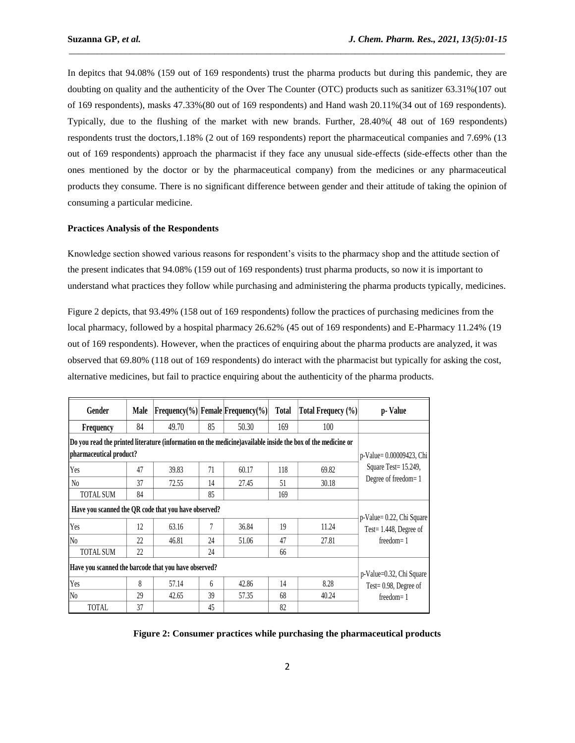In depitcs that 94.08% (159 out of 169 respondents) trust the pharma products but during this pandemic, they are doubting on quality and the authenticity of the Over The Counter (OTC) products such as sanitizer 63.31%(107 out of 169 respondents), masks 47.33%(80 out of 169 respondents) and Hand wash 20.11%(34 out of 169 respondents). Typically, due to the flushing of the market with new brands. Further, 28.40%( 48 out of 169 respondents) respondents trust the doctors,1.18% (2 out of 169 respondents) report the pharmaceutical companies and 7.69% (13 out of 169 respondents) approach the pharmacist if they face any unusual side-effects (side-effects other than the ones mentioned by the doctor or by the pharmaceutical company) from the medicines or any pharmaceutical products they consume. There is no significant difference between gender and their attitude of taking the opinion of consuming a particular medicine.

\_\_\_\_\_\_\_\_\_\_\_\_\_\_\_\_\_\_\_\_\_\_\_\_\_\_\_\_\_\_\_\_\_\_\_\_\_\_\_\_\_\_\_\_\_\_\_\_\_\_\_\_\_\_\_\_\_\_\_\_\_\_\_\_\_\_\_\_\_\_\_\_\_\_\_\_\_\_\_\_\_\_\_\_\_\_\_\_\_\_\_\_\_

### **Practices Analysis of the Respondents**

Knowledge section showed various reasons for respondent's visits to the pharmacy shop and the attitude section of the present indicates that 94.08% (159 out of 169 respondents) trust pharma products, so now it is important to understand what practices they follow while purchasing and administering the pharma products typically, medicines.

Figure 2 depicts, that 93.49% (158 out of 169 respondents) follow the practices of purchasing medicines from the local pharmacy, followed by a hospital pharmacy 26.62% (45 out of 169 respondents) and E-Pharmacy 11.24% (19 out of 169 respondents). However, when the practices of enquiring about the pharma products are analyzed, it was observed that 69.80% (118 out of 169 respondents) do interact with the pharmacist but typically for asking the cost, alternative medicines, but fail to practice enquiring about the authenticity of the pharma products.

| Gender                                                                                                       | Male                     | $ Frequency(\%) $ Female Frequency(%) |    |       | Total | Total Frequecy (%) | p-Value                                                             |  |
|--------------------------------------------------------------------------------------------------------------|--------------------------|---------------------------------------|----|-------|-------|--------------------|---------------------------------------------------------------------|--|
| Frequency                                                                                                    | 84                       | 49.70                                 | 85 | 50.30 | 169   | 100                |                                                                     |  |
| Do you read the printed literature (information on the medicine) available inside the box of the medicine or |                          |                                       |    |       |       |                    |                                                                     |  |
| pharmaceutical product?                                                                                      | p-Value= 0.00009423, Chi |                                       |    |       |       |                    |                                                                     |  |
| Yes                                                                                                          | 47                       | 39.83                                 | 71 | 60.17 | 118   | 69.82              | Square Test= 15.249,                                                |  |
| No                                                                                                           | 37                       | 72.55                                 | 14 | 27.45 | 51    | 30.18              | Degree of freedom=1                                                 |  |
| TOTAL SUM                                                                                                    | 84                       |                                       | 85 |       | 169   |                    |                                                                     |  |
| Have you scanned the QR code that you have observed?                                                         |                          |                                       |    |       |       |                    |                                                                     |  |
| Yes                                                                                                          | 12                       | 63.16                                 | 7  | 36.84 | 19    | 11.24              | p-Value= 0.22, Chi Square<br>Test=1.448, Degree of<br>$freedom = 1$ |  |
| N <sub>0</sub>                                                                                               | 22                       | 46.81                                 | 24 | 51.06 | 47    | 27.81              |                                                                     |  |
| <b>TOTAL SUM</b>                                                                                             | 22                       |                                       | 24 |       | 66    |                    |                                                                     |  |
| Have you scanned the barcode that you have observed?                                                         | p-Value=0.32, Chi Square |                                       |    |       |       |                    |                                                                     |  |
| Yes                                                                                                          | 8                        | 57.14                                 | 6  | 42.86 | 14    | 8.28               | Test= $0.98$ , Degree of                                            |  |
| N <sub>0</sub>                                                                                               | 29                       | 42.65                                 | 39 | 57.35 | 68    | 40.24              | $freedom = 1$                                                       |  |
| <b>TOTAL</b>                                                                                                 | 37                       |                                       | 45 |       | 82    |                    |                                                                     |  |

**Figure 2: Consumer practices while purchasing the pharmaceutical products**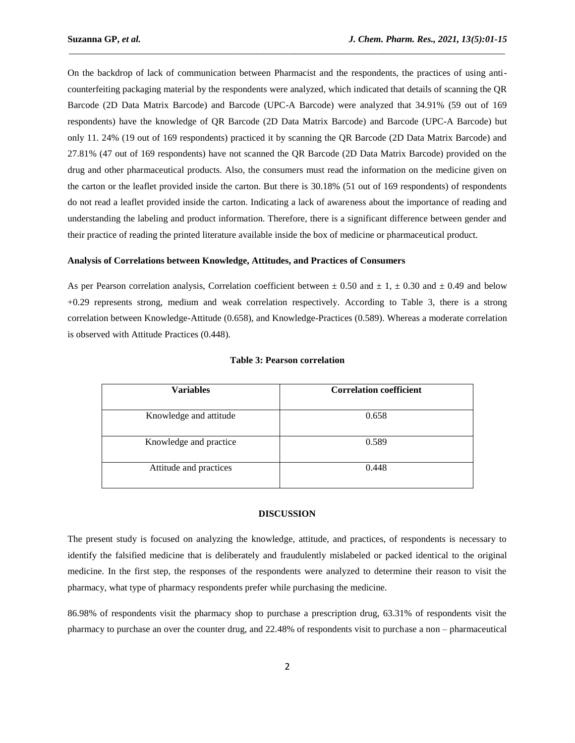On the backdrop of lack of communication between Pharmacist and the respondents, the practices of using anticounterfeiting packaging material by the respondents were analyzed, which indicated that details of scanning the QR Barcode (2D Data Matrix Barcode) and Barcode (UPC-A Barcode) were analyzed that 34.91% (59 out of 169 respondents) have the knowledge of QR Barcode (2D Data Matrix Barcode) and Barcode (UPC-A Barcode) but only 11. 24% (19 out of 169 respondents) practiced it by scanning the QR Barcode (2D Data Matrix Barcode) and 27.81% (47 out of 169 respondents) have not scanned the QR Barcode (2D Data Matrix Barcode) provided on the drug and other pharmaceutical products. Also, the consumers must read the information on the medicine given on the carton or the leaflet provided inside the carton. But there is 30.18% (51 out of 169 respondents) of respondents do not read a leaflet provided inside the carton. Indicating a lack of awareness about the importance of reading and understanding the labeling and product information. Therefore, there is a significant difference between gender and their practice of reading the printed literature available inside the box of medicine or pharmaceutical product.

\_\_\_\_\_\_\_\_\_\_\_\_\_\_\_\_\_\_\_\_\_\_\_\_\_\_\_\_\_\_\_\_\_\_\_\_\_\_\_\_\_\_\_\_\_\_\_\_\_\_\_\_\_\_\_\_\_\_\_\_\_\_\_\_\_\_\_\_\_\_\_\_\_\_\_\_\_\_\_\_\_\_\_\_\_\_\_\_\_\_\_\_\_

#### **Analysis of Correlations between Knowledge, Attitudes, and Practices of Consumers**

As per Pearson correlation analysis, Correlation coefficient between  $\pm$  0.50 and  $\pm$  1,  $\pm$  0.30 and  $\pm$  0.49 and below +0.29 represents strong, medium and weak correlation respectively. According to Table 3, there is a strong correlation between Knowledge-Attitude (0.658), and Knowledge-Practices (0.589). Whereas a moderate correlation is observed with Attitude Practices (0.448).

| <b>Variables</b>       | <b>Correlation coefficient</b> |  |  |  |
|------------------------|--------------------------------|--|--|--|
|                        |                                |  |  |  |
| Knowledge and attitude | 0.658                          |  |  |  |
|                        |                                |  |  |  |
| Knowledge and practice | 0.589                          |  |  |  |
| Attitude and practices | 0.448                          |  |  |  |

#### **Table 3: Pearson correlation**

#### **DISCUSSION**

The present study is focused on analyzing the knowledge, attitude, and practices, of respondents is necessary to identify the falsified medicine that is deliberately and fraudulently mislabeled or packed identical to the original medicine. In the first step, the responses of the respondents were analyzed to determine their reason to visit the pharmacy, what type of pharmacy respondents prefer while purchasing the medicine.

86.98% of respondents visit the pharmacy shop to purchase a prescription drug, 63.31% of respondents visit the pharmacy to purchase an over the counter drug, and 22.48% of respondents visit to purchase a non – pharmaceutical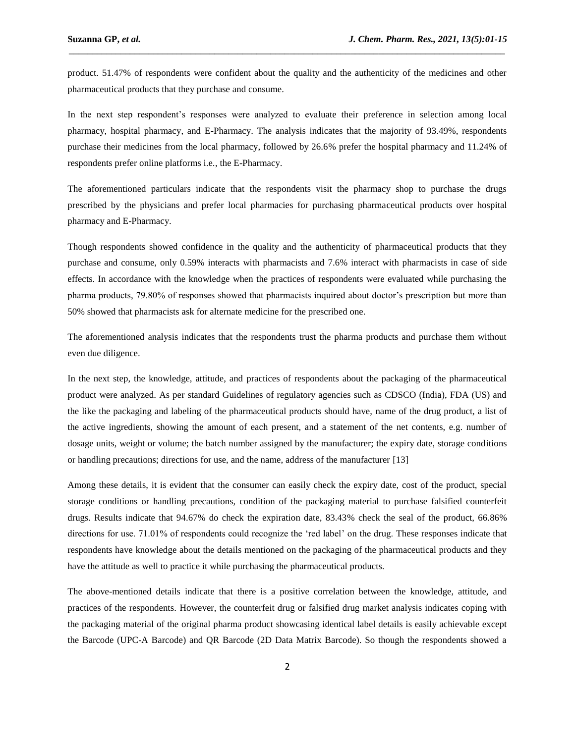product. 51.47% of respondents were confident about the quality and the authenticity of the medicines and other pharmaceutical products that they purchase and consume.

\_\_\_\_\_\_\_\_\_\_\_\_\_\_\_\_\_\_\_\_\_\_\_\_\_\_\_\_\_\_\_\_\_\_\_\_\_\_\_\_\_\_\_\_\_\_\_\_\_\_\_\_\_\_\_\_\_\_\_\_\_\_\_\_\_\_\_\_\_\_\_\_\_\_\_\_\_\_\_\_\_\_\_\_\_\_\_\_\_\_\_\_\_

In the next step respondent's responses were analyzed to evaluate their preference in selection among local pharmacy, hospital pharmacy, and E-Pharmacy. The analysis indicates that the majority of 93.49%, respondents purchase their medicines from the local pharmacy, followed by 26.6% prefer the hospital pharmacy and 11.24% of respondents prefer online platforms i.e., the E-Pharmacy.

The aforementioned particulars indicate that the respondents visit the pharmacy shop to purchase the drugs prescribed by the physicians and prefer local pharmacies for purchasing pharmaceutical products over hospital pharmacy and E-Pharmacy.

Though respondents showed confidence in the quality and the authenticity of pharmaceutical products that they purchase and consume, only 0.59% interacts with pharmacists and 7.6% interact with pharmacists in case of side effects. In accordance with the knowledge when the practices of respondents were evaluated while purchasing the pharma products, 79.80% of responses showed that pharmacists inquired about doctor's prescription but more than 50% showed that pharmacists ask for alternate medicine for the prescribed one.

The aforementioned analysis indicates that the respondents trust the pharma products and purchase them without even due diligence.

In the next step, the knowledge, attitude, and practices of respondents about the packaging of the pharmaceutical product were analyzed. As per standard Guidelines of regulatory agencies such as CDSCO (India), FDA (US) and the like the packaging and labeling of the pharmaceutical products should have, name of the drug product, a list of the active ingredients, showing the amount of each present, and a statement of the net contents, e.g. number of dosage units, weight or volume; the batch number assigned by the manufacturer; the expiry date, storage conditions or handling precautions; directions for use, and the name, address of the manufacturer [13]

Among these details, it is evident that the consumer can easily check the expiry date, cost of the product, special storage conditions or handling precautions, condition of the packaging material to purchase falsified counterfeit drugs. Results indicate that 94.67% do check the expiration date, 83.43% check the seal of the product, 66.86% directions for use. 71.01% of respondents could recognize the 'red label' on the drug. These responses indicate that respondents have knowledge about the details mentioned on the packaging of the pharmaceutical products and they have the attitude as well to practice it while purchasing the pharmaceutical products.

The above-mentioned details indicate that there is a positive correlation between the knowledge, attitude, and practices of the respondents. However, the counterfeit drug or falsified drug market analysis indicates coping with the packaging material of the original pharma product showcasing identical label details is easily achievable except the Barcode (UPC-A Barcode) and QR Barcode (2D Data Matrix Barcode). So though the respondents showed a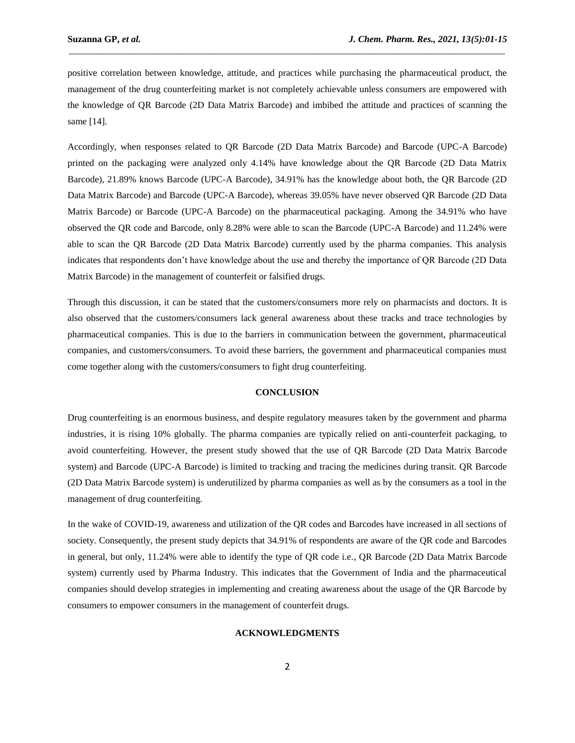positive correlation between knowledge, attitude, and practices while purchasing the pharmaceutical product, the management of the drug counterfeiting market is not completely achievable unless consumers are empowered with the knowledge of QR Barcode (2D Data Matrix Barcode) and imbibed the attitude and practices of scanning the same [14].

\_\_\_\_\_\_\_\_\_\_\_\_\_\_\_\_\_\_\_\_\_\_\_\_\_\_\_\_\_\_\_\_\_\_\_\_\_\_\_\_\_\_\_\_\_\_\_\_\_\_\_\_\_\_\_\_\_\_\_\_\_\_\_\_\_\_\_\_\_\_\_\_\_\_\_\_\_\_\_\_\_\_\_\_\_\_\_\_\_\_\_\_\_

Accordingly, when responses related to QR Barcode (2D Data Matrix Barcode) and Barcode (UPC-A Barcode) printed on the packaging were analyzed only 4.14% have knowledge about the QR Barcode (2D Data Matrix Barcode), 21.89% knows Barcode (UPC-A Barcode), 34.91% has the knowledge about both, the QR Barcode (2D Data Matrix Barcode) and Barcode (UPC-A Barcode), whereas 39.05% have never observed QR Barcode (2D Data Matrix Barcode) or Barcode (UPC-A Barcode) on the pharmaceutical packaging. Among the 34.91% who have observed the QR code and Barcode, only 8.28% were able to scan the Barcode (UPC-A Barcode) and 11.24% were able to scan the QR Barcode (2D Data Matrix Barcode) currently used by the pharma companies. This analysis indicates that respondents don't have knowledge about the use and thereby the importance of QR Barcode (2D Data Matrix Barcode) in the management of counterfeit or falsified drugs.

Through this discussion, it can be stated that the customers/consumers more rely on pharmacists and doctors. It is also observed that the customers/consumers lack general awareness about these tracks and trace technologies by pharmaceutical companies. This is due to the barriers in communication between the government, pharmaceutical companies, and customers/consumers. To avoid these barriers, the government and pharmaceutical companies must come together along with the customers/consumers to fight drug counterfeiting.

## **CONCLUSION**

Drug counterfeiting is an enormous business, and despite regulatory measures taken by the government and pharma industries, it is rising 10% globally. The pharma companies are typically relied on anti-counterfeit packaging, to avoid counterfeiting. However, the present study showed that the use of QR Barcode (2D Data Matrix Barcode system) and Barcode (UPC-A Barcode) is limited to tracking and tracing the medicines during transit. QR Barcode (2D Data Matrix Barcode system) is underutilized by pharma companies as well as by the consumers as a tool in the management of drug counterfeiting.

In the wake of COVID-19, awareness and utilization of the QR codes and Barcodes have increased in all sections of society. Consequently, the present study depicts that 34.91% of respondents are aware of the QR code and Barcodes in general, but only, 11.24% were able to identify the type of QR code i.e., QR Barcode (2D Data Matrix Barcode system) currently used by Pharma Industry. This indicates that the Government of India and the pharmaceutical companies should develop strategies in implementing and creating awareness about the usage of the QR Barcode by consumers to empower consumers in the management of counterfeit drugs.

#### **ACKNOWLEDGMENTS**